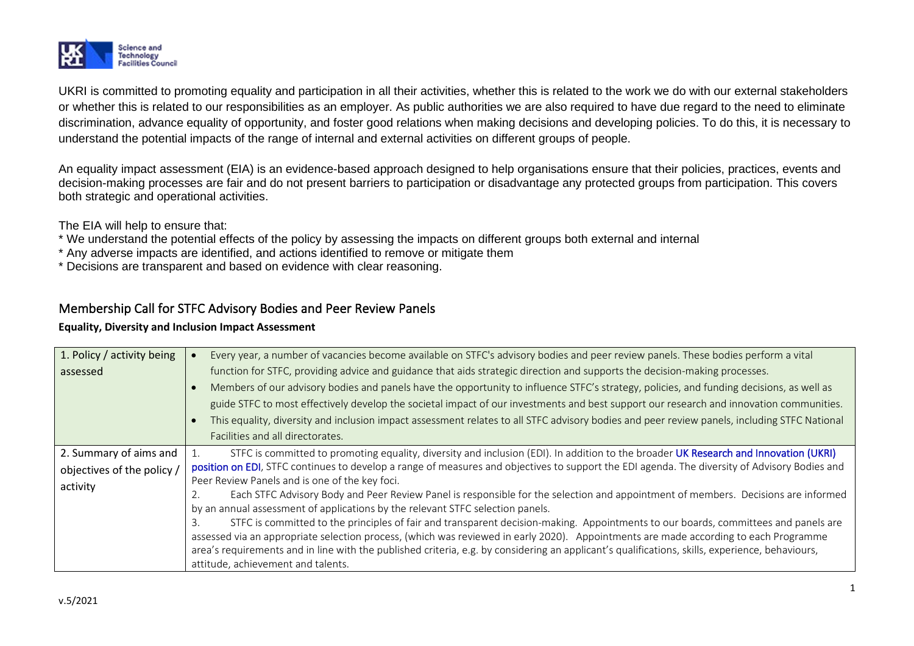

UKRI is committed to promoting equality and participation in all their activities, whether this is related to the work we do with our external stakeholders or whether this is related to our responsibilities as an employer. As public authorities we are also required to have due regard to the need to eliminate discrimination, advance equality of opportunity, and foster good relations when making decisions and developing policies. To do this, it is necessary to understand the potential impacts of the range of internal and external activities on different groups of people.

An equality impact assessment (EIA) is an evidence-based approach designed to help organisations ensure that their policies, practices, events and decision-making processes are fair and do not present barriers to participation or disadvantage any protected groups from participation. This covers both strategic and operational activities.

The EIA will help to ensure that:

- \* We understand the potential effects of the policy by assessing the impacts on different groups both external and internal
- \* Any adverse impacts are identified, and actions identified to remove or mitigate them
- \* Decisions are transparent and based on evidence with clear reasoning.

## Membership Call for STFC Advisory Bodies and Peer Review Panels

## **Equality, Diversity and Inclusion Impact Assessment**

| 1. Policy / activity being | Every year, a number of vacancies become available on STFC's advisory bodies and peer review panels. These bodies perform a vital               |  |  |  |
|----------------------------|-------------------------------------------------------------------------------------------------------------------------------------------------|--|--|--|
| assessed                   | function for STFC, providing advice and guidance that aids strategic direction and supports the decision-making processes.                      |  |  |  |
|                            | Members of our advisory bodies and panels have the opportunity to influence STFC's strategy, policies, and funding decisions, as well as        |  |  |  |
|                            | guide STFC to most effectively develop the societal impact of our investments and best support our research and innovation communities.         |  |  |  |
|                            | This equality, diversity and inclusion impact assessment relates to all STFC advisory bodies and peer review panels, including STFC National    |  |  |  |
|                            | Facilities and all directorates.                                                                                                                |  |  |  |
| 2. Summary of aims and     | STFC is committed to promoting equality, diversity and inclusion (EDI). In addition to the broader UK Research and Innovation (UKRI)            |  |  |  |
| objectives of the policy / | position on EDI, STFC continues to develop a range of measures and objectives to support the EDI agenda. The diversity of Advisory Bodies and   |  |  |  |
| activity                   | Peer Review Panels and is one of the key foci.                                                                                                  |  |  |  |
|                            | Each STFC Advisory Body and Peer Review Panel is responsible for the selection and appointment of members. Decisions are informed               |  |  |  |
|                            | by an annual assessment of applications by the relevant STFC selection panels.                                                                  |  |  |  |
|                            | STFC is committed to the principles of fair and transparent decision-making. Appointments to our boards, committees and panels are              |  |  |  |
|                            | assessed via an appropriate selection process, (which was reviewed in early 2020). Appointments are made according to each Programme            |  |  |  |
|                            | area's requirements and in line with the published criteria, e.g. by considering an applicant's qualifications, skills, experience, behaviours, |  |  |  |
|                            | attitude, achievement and talents.                                                                                                              |  |  |  |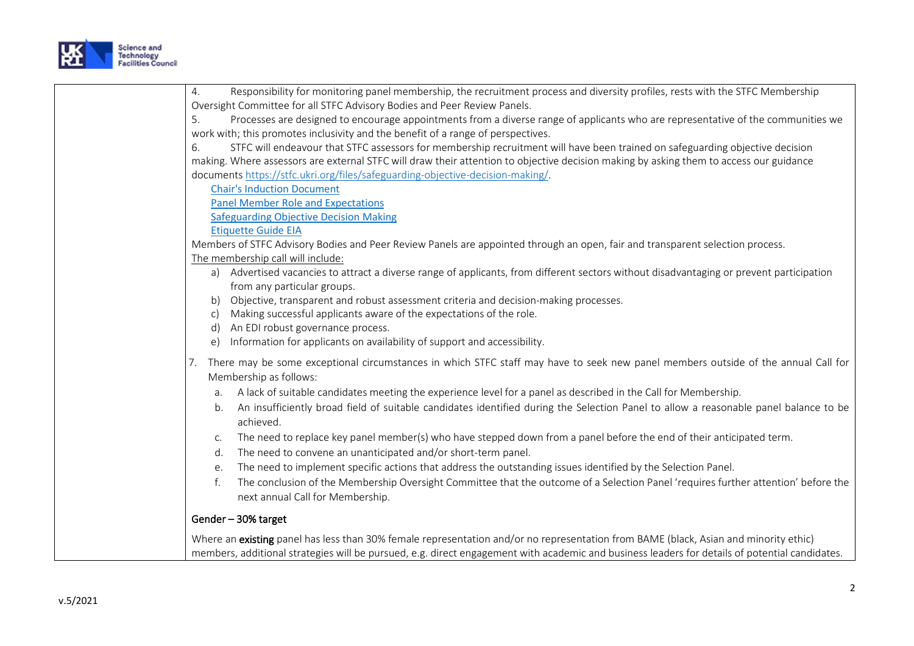

| 4. | Responsibility for monitoring panel membership, the recruitment process and diversity profiles, rests with the STFC Membership                    |
|----|---------------------------------------------------------------------------------------------------------------------------------------------------|
|    | Oversight Committee for all STFC Advisory Bodies and Peer Review Panels.                                                                          |
| 5. | Processes are designed to encourage appointments from a diverse range of applicants who are representative of the communities we                  |
|    | work with; this promotes inclusivity and the benefit of a range of perspectives.                                                                  |
| 6. | STFC will endeavour that STFC assessors for membership recruitment will have been trained on safeguarding objective decision                      |
|    | making. Where assessors are external STFC will draw their attention to objective decision making by asking them to access our guidance            |
|    | documents https://stfc.ukri.org/files/safeguarding-objective-decision-making/.                                                                    |
|    | <b>Chair's Induction Document</b>                                                                                                                 |
|    | <b>Panel Member Role and Expectations</b>                                                                                                         |
|    | <b>Safeguarding Objective Decision Making</b>                                                                                                     |
|    | <b>Etiquette Guide EIA</b>                                                                                                                        |
|    | Members of STFC Advisory Bodies and Peer Review Panels are appointed through an open, fair and transparent selection process.                     |
|    | The membership call will include:                                                                                                                 |
|    | a) Advertised vacancies to attract a diverse range of applicants, from different sectors without disadvantaging or prevent participation          |
|    | from any particular groups.                                                                                                                       |
|    | b) Objective, transparent and robust assessment criteria and decision-making processes.                                                           |
| C) | Making successful applicants aware of the expectations of the role.                                                                               |
| d) | An EDI robust governance process.                                                                                                                 |
| e) | Information for applicants on availability of support and accessibility.                                                                          |
|    | There may be some exceptional circumstances in which STFC staff may have to seek new panel members outside of the annual Call for                 |
|    | Membership as follows:                                                                                                                            |
| a. | A lack of suitable candidates meeting the experience level for a panel as described in the Call for Membership.                                   |
| b. | An insufficiently broad field of suitable candidates identified during the Selection Panel to allow a reasonable panel balance to be<br>achieved. |
| C. | The need to replace key panel member(s) who have stepped down from a panel before the end of their anticipated term.                              |
| d. | The need to convene an unanticipated and/or short-term panel.                                                                                     |
| е. | The need to implement specific actions that address the outstanding issues identified by the Selection Panel.                                     |
| f. | The conclusion of the Membership Oversight Committee that the outcome of a Selection Panel 'requires further attention' before the                |
|    | next annual Call for Membership.                                                                                                                  |
|    | Gender-30% target                                                                                                                                 |
|    | Where an existing panel has less than 30% female representation and/or no representation from BAME (black, Asian and minority ethic)              |
|    | members, additional strategies will be pursued, e.g. direct engagement with academic and business leaders for details of potential candidates.    |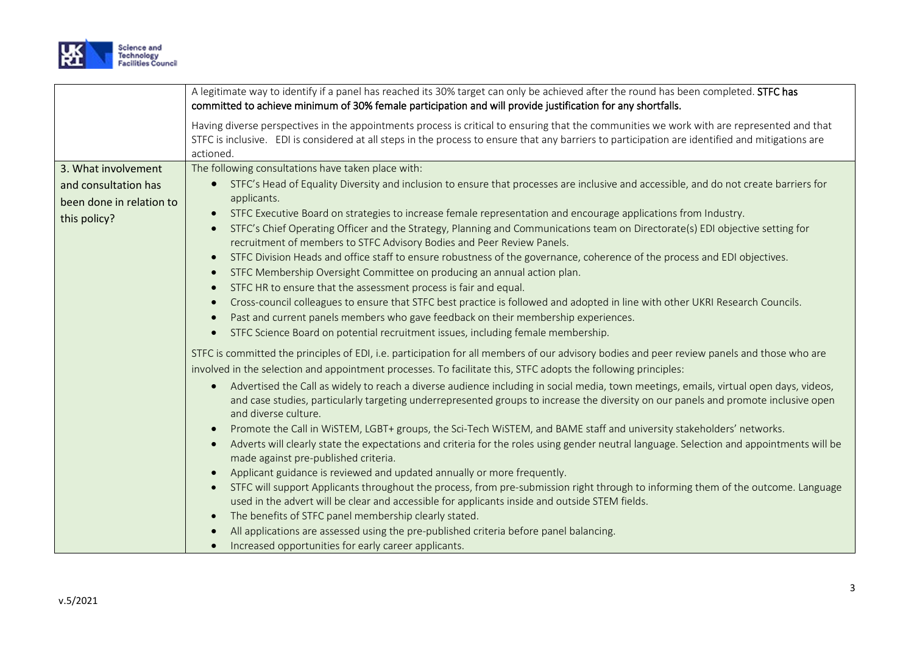

| A legitimate way to identify if a panel has reached its 30% target can only be achieved after the round has been completed. STFC has             |
|--------------------------------------------------------------------------------------------------------------------------------------------------|
|                                                                                                                                                  |
| Having diverse perspectives in the appointments process is critical to ensuring that the communities we work with are represented and that       |
| STFC is inclusive. EDI is considered at all steps in the process to ensure that any barriers to participation are identified and mitigations are |
|                                                                                                                                                  |
|                                                                                                                                                  |
| STFC's Head of Equality Diversity and inclusion to ensure that processes are inclusive and accessible, and do not create barriers for            |
|                                                                                                                                                  |
| STFC's Chief Operating Officer and the Strategy, Planning and Communications team on Directorate(s) EDI objective setting for                    |
|                                                                                                                                                  |
|                                                                                                                                                  |
|                                                                                                                                                  |
|                                                                                                                                                  |
| Cross-council colleagues to ensure that STFC best practice is followed and adopted in line with other UKRI Research Councils.                    |
|                                                                                                                                                  |
|                                                                                                                                                  |
| STFC is committed the principles of EDI, i.e. participation for all members of our advisory bodies and peer review panels and those who are      |
|                                                                                                                                                  |
| Advertised the Call as widely to reach a diverse audience including in social media, town meetings, emails, virtual open days, videos,           |
| and case studies, particularly targeting underrepresented groups to increase the diversity on our panels and promote inclusive open              |
|                                                                                                                                                  |
|                                                                                                                                                  |
| Adverts will clearly state the expectations and criteria for the roles using gender neutral language. Selection and appointments will be         |
|                                                                                                                                                  |
| STFC will support Applicants throughout the process, from pre-submission right through to informing them of the outcome. Language                |
|                                                                                                                                                  |
|                                                                                                                                                  |
|                                                                                                                                                  |
|                                                                                                                                                  |
| STFC Division Heads and office staff to ensure robustness of the governance, coherence of the process and EDI objectives.                        |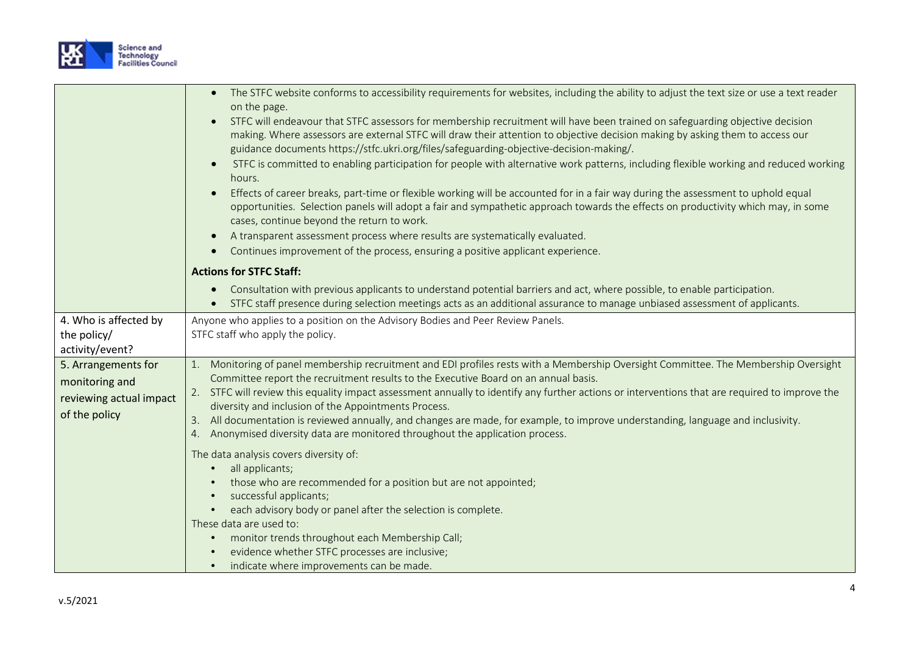

|                                                                                   | The STFC website conforms to accessibility requirements for websites, including the ability to adjust the text size or use a text reader<br>on the page.<br>STFC will endeavour that STFC assessors for membership recruitment will have been trained on safeguarding objective decision<br>$\bullet$<br>making. Where assessors are external STFC will draw their attention to objective decision making by asking them to access our<br>guidance documents https://stfc.ukri.org/files/safeguarding-objective-decision-making/.<br>STFC is committed to enabling participation for people with alternative work patterns, including flexible working and reduced working<br>$\bullet$<br>hours.<br>Effects of career breaks, part-time or flexible working will be accounted for in a fair way during the assessment to uphold equal<br>opportunities. Selection panels will adopt a fair and sympathetic approach towards the effects on productivity which may, in some<br>cases, continue beyond the return to work.<br>A transparent assessment process where results are systematically evaluated.<br>$\bullet$<br>Continues improvement of the process, ensuring a positive applicant experience. |
|-----------------------------------------------------------------------------------|-----------------------------------------------------------------------------------------------------------------------------------------------------------------------------------------------------------------------------------------------------------------------------------------------------------------------------------------------------------------------------------------------------------------------------------------------------------------------------------------------------------------------------------------------------------------------------------------------------------------------------------------------------------------------------------------------------------------------------------------------------------------------------------------------------------------------------------------------------------------------------------------------------------------------------------------------------------------------------------------------------------------------------------------------------------------------------------------------------------------------------------------------------------------------------------------------------------|
|                                                                                   | <b>Actions for STFC Staff:</b>                                                                                                                                                                                                                                                                                                                                                                                                                                                                                                                                                                                                                                                                                                                                                                                                                                                                                                                                                                                                                                                                                                                                                                            |
|                                                                                   | Consultation with previous applicants to understand potential barriers and act, where possible, to enable participation.<br>$\bullet$<br>STFC staff presence during selection meetings acts as an additional assurance to manage unbiased assessment of applicants.                                                                                                                                                                                                                                                                                                                                                                                                                                                                                                                                                                                                                                                                                                                                                                                                                                                                                                                                       |
| 4. Who is affected by<br>the policy/<br>activity/event?                           | Anyone who applies to a position on the Advisory Bodies and Peer Review Panels.<br>STFC staff who apply the policy.                                                                                                                                                                                                                                                                                                                                                                                                                                                                                                                                                                                                                                                                                                                                                                                                                                                                                                                                                                                                                                                                                       |
| 5. Arrangements for<br>monitoring and<br>reviewing actual impact<br>of the policy | Monitoring of panel membership recruitment and EDI profiles rests with a Membership Oversight Committee. The Membership Oversight<br>1.<br>Committee report the recruitment results to the Executive Board on an annual basis.<br>2. STFC will review this equality impact assessment annually to identify any further actions or interventions that are required to improve the<br>diversity and inclusion of the Appointments Process.<br>All documentation is reviewed annually, and changes are made, for example, to improve understanding, language and inclusivity.<br>3.<br>4. Anonymised diversity data are monitored throughout the application process.                                                                                                                                                                                                                                                                                                                                                                                                                                                                                                                                        |
|                                                                                   | The data analysis covers diversity of:<br>all applicants;<br>those who are recommended for a position but are not appointed;<br>successful applicants;<br>each advisory body or panel after the selection is complete.<br>These data are used to:<br>monitor trends throughout each Membership Call;<br>$\bullet$<br>evidence whether STFC processes are inclusive;<br>indicate where improvements can be made.                                                                                                                                                                                                                                                                                                                                                                                                                                                                                                                                                                                                                                                                                                                                                                                           |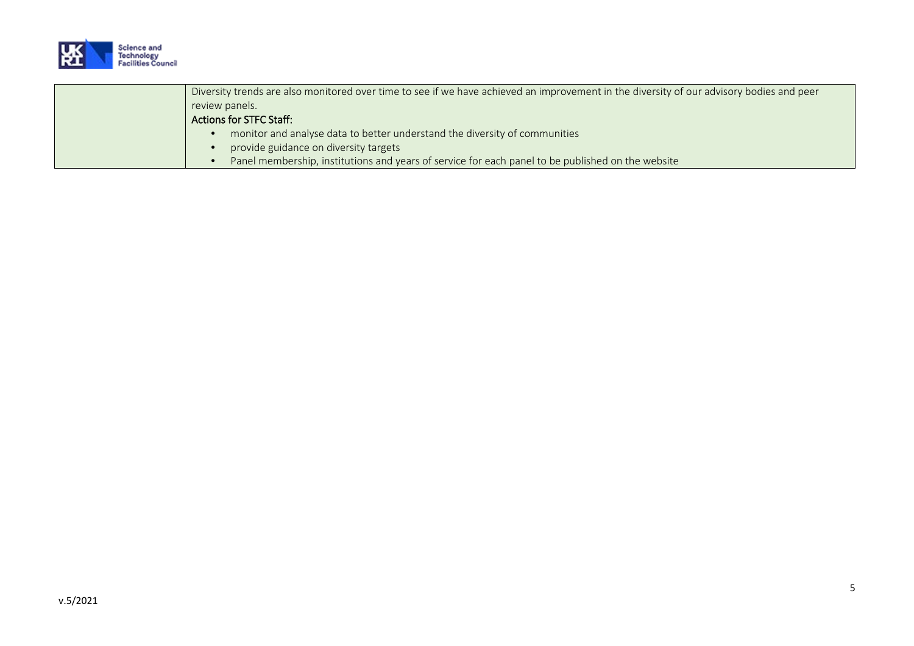

| Diversity trends are also monitored over time to see if we have achieved an improvement in the diversity of our advisory bodies and peer |
|------------------------------------------------------------------------------------------------------------------------------------------|
| review panels.                                                                                                                           |
| Actions for STFC Staff:                                                                                                                  |
| monitor and analyse data to better understand the diversity of communities                                                               |
| provide guidance on diversity targets                                                                                                    |
| Panel membership, institutions and years of service for each panel to be published on the website                                        |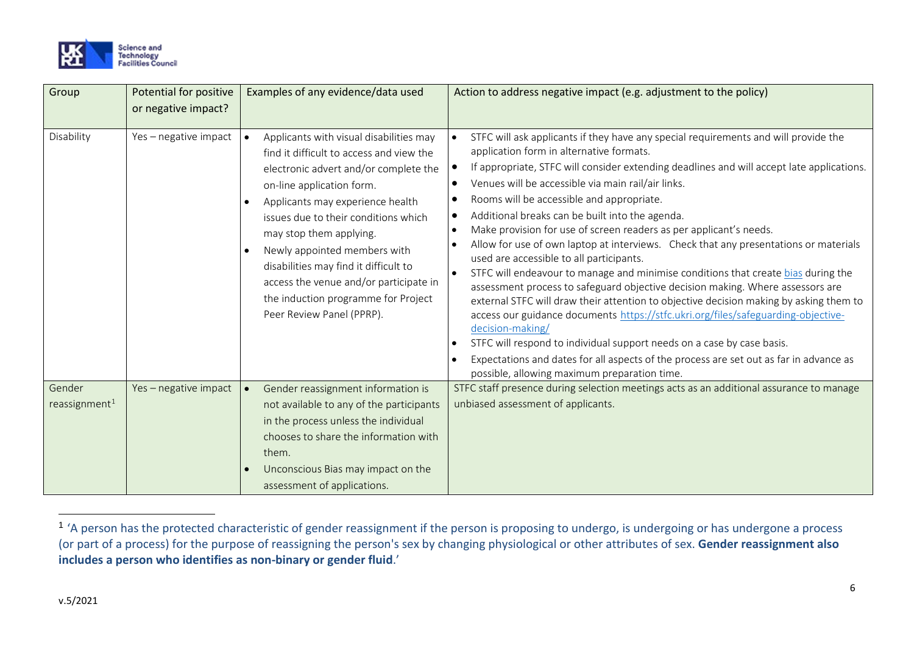<span id="page-5-0"></span>

| Group                               | Potential for positive<br>or negative impact? | Examples of any evidence/data used                                                                                                                                                                                                                                                                                                                                                                                                                                   | Action to address negative impact (e.g. adjustment to the policy)                                                                                                                                                                                                                                                                                                                                                                                                                                                                                                                                                                                                                                                                                                                                                                                                                                                                                                                                                                                                                                                                                                                                            |
|-------------------------------------|-----------------------------------------------|----------------------------------------------------------------------------------------------------------------------------------------------------------------------------------------------------------------------------------------------------------------------------------------------------------------------------------------------------------------------------------------------------------------------------------------------------------------------|--------------------------------------------------------------------------------------------------------------------------------------------------------------------------------------------------------------------------------------------------------------------------------------------------------------------------------------------------------------------------------------------------------------------------------------------------------------------------------------------------------------------------------------------------------------------------------------------------------------------------------------------------------------------------------------------------------------------------------------------------------------------------------------------------------------------------------------------------------------------------------------------------------------------------------------------------------------------------------------------------------------------------------------------------------------------------------------------------------------------------------------------------------------------------------------------------------------|
| Disability                          | Yes - negative impact                         | Applicants with visual disabilities may<br>$\bullet$<br>find it difficult to access and view the<br>electronic advert and/or complete the<br>on-line application form.<br>Applicants may experience health<br>issues due to their conditions which<br>may stop them applying.<br>Newly appointed members with<br>disabilities may find it difficult to<br>access the venue and/or participate in<br>the induction programme for Project<br>Peer Review Panel (PPRP). | STFC will ask applicants if they have any special requirements and will provide the<br>application form in alternative formats.<br>If appropriate, STFC will consider extending deadlines and will accept late applications.<br>Venues will be accessible via main rail/air links.<br>Rooms will be accessible and appropriate.<br>٠<br>Additional breaks can be built into the agenda.<br>Make provision for use of screen readers as per applicant's needs.<br>Allow for use of own laptop at interviews. Check that any presentations or materials<br>used are accessible to all participants.<br>STFC will endeavour to manage and minimise conditions that create bias during the<br>$\bullet$<br>assessment process to safeguard objective decision making. Where assessors are<br>external STFC will draw their attention to objective decision making by asking them to<br>access our guidance documents https://stfc.ukri.org/files/safeguarding-objective-<br>decision-making/<br>STFC will respond to individual support needs on a case by case basis.<br>Expectations and dates for all aspects of the process are set out as far in advance as<br>possible, allowing maximum preparation time. |
| Gender<br>reassignment <sup>1</sup> | Yes - negative impact                         | Gender reassignment information is<br>not available to any of the participants<br>in the process unless the individual<br>chooses to share the information with<br>them.<br>Unconscious Bias may impact on the<br>assessment of applications.                                                                                                                                                                                                                        | STFC staff presence during selection meetings acts as an additional assurance to manage<br>unbiased assessment of applicants.                                                                                                                                                                                                                                                                                                                                                                                                                                                                                                                                                                                                                                                                                                                                                                                                                                                                                                                                                                                                                                                                                |

<sup>&</sup>lt;sup>1</sup> 'A person has the protected characteristic of gender reassignment if the person is proposing to undergo, is undergoing or has undergone a process (or part of a process) for the purpose of reassigning the person's sex by changing physiological or other attributes of sex. **Gender reassignment also includes a person who identifies as non-binary or gender fluid**.'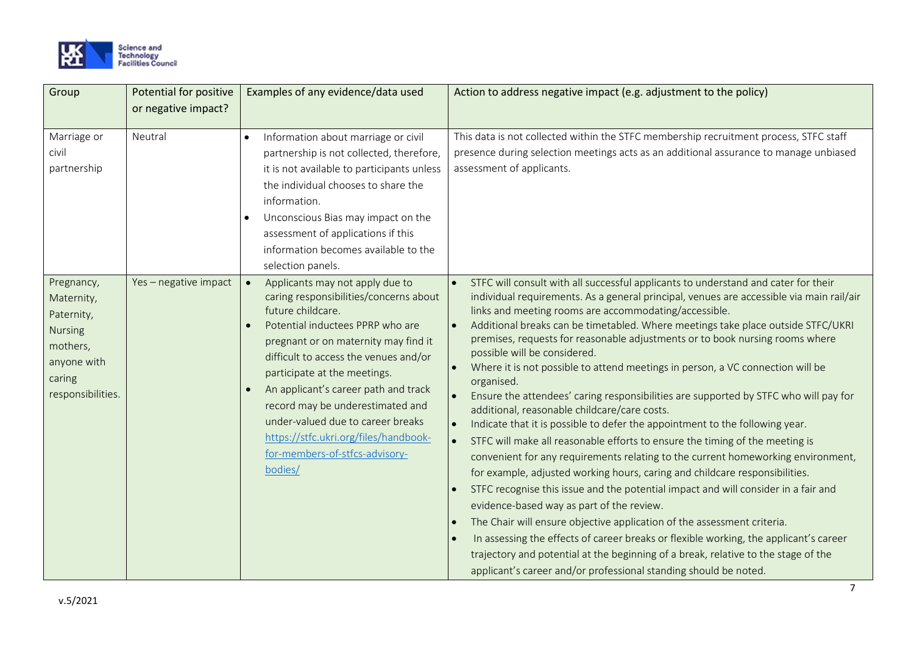

| Group                                                                                                              | Potential for positive | Examples of any evidence/data used                                                                                                                                                                                                                                                                                                                                                                                                                                      | Action to address negative impact (e.g. adjustment to the policy)                                                                                                                                                                                                                                                                                                                                                                                                                                                                                                                                                                                                                                                                                                                                                                                                                                                                                                                                                                                                                                                                                                                                                                                                                                                                                                                                                                                                                       |
|--------------------------------------------------------------------------------------------------------------------|------------------------|-------------------------------------------------------------------------------------------------------------------------------------------------------------------------------------------------------------------------------------------------------------------------------------------------------------------------------------------------------------------------------------------------------------------------------------------------------------------------|-----------------------------------------------------------------------------------------------------------------------------------------------------------------------------------------------------------------------------------------------------------------------------------------------------------------------------------------------------------------------------------------------------------------------------------------------------------------------------------------------------------------------------------------------------------------------------------------------------------------------------------------------------------------------------------------------------------------------------------------------------------------------------------------------------------------------------------------------------------------------------------------------------------------------------------------------------------------------------------------------------------------------------------------------------------------------------------------------------------------------------------------------------------------------------------------------------------------------------------------------------------------------------------------------------------------------------------------------------------------------------------------------------------------------------------------------------------------------------------------|
|                                                                                                                    | or negative impact?    |                                                                                                                                                                                                                                                                                                                                                                                                                                                                         |                                                                                                                                                                                                                                                                                                                                                                                                                                                                                                                                                                                                                                                                                                                                                                                                                                                                                                                                                                                                                                                                                                                                                                                                                                                                                                                                                                                                                                                                                         |
| Marriage or<br>civil<br>partnership                                                                                | Neutral                | Information about marriage or civil<br>partnership is not collected, therefore,<br>it is not available to participants unless<br>the individual chooses to share the<br>information.<br>Unconscious Bias may impact on the<br>assessment of applications if this<br>information becomes available to the<br>selection panels.                                                                                                                                           | This data is not collected within the STFC membership recruitment process, STFC staff<br>presence during selection meetings acts as an additional assurance to manage unbiased<br>assessment of applicants.                                                                                                                                                                                                                                                                                                                                                                                                                                                                                                                                                                                                                                                                                                                                                                                                                                                                                                                                                                                                                                                                                                                                                                                                                                                                             |
| Pregnancy,<br>Maternity,<br>Paternity,<br><b>Nursing</b><br>mothers,<br>anyone with<br>caring<br>responsibilities. | Yes - negative impact  | Applicants may not apply due to<br>$\bullet$<br>caring responsibilities/concerns about<br>future childcare.<br>Potential inductees PPRP who are<br>pregnant or on maternity may find it<br>difficult to access the venues and/or<br>participate at the meetings.<br>An applicant's career path and track<br>record may be underestimated and<br>under-valued due to career breaks<br>https://stfc.ukri.org/files/handbook-<br>for-members-of-stfcs-advisory-<br>bodies/ | STFC will consult with all successful applicants to understand and cater for their<br>individual requirements. As a general principal, venues are accessible via main rail/air<br>links and meeting rooms are accommodating/accessible.<br>Additional breaks can be timetabled. Where meetings take place outside STFC/UKRI<br>premises, requests for reasonable adjustments or to book nursing rooms where<br>possible will be considered.<br>Where it is not possible to attend meetings in person, a VC connection will be<br>organised.<br>Ensure the attendees' caring responsibilities are supported by STFC who will pay for<br>additional, reasonable childcare/care costs.<br>Indicate that it is possible to defer the appointment to the following year.<br>STFC will make all reasonable efforts to ensure the timing of the meeting is<br>convenient for any requirements relating to the current homeworking environment,<br>for example, adjusted working hours, caring and childcare responsibilities.<br>STFC recognise this issue and the potential impact and will consider in a fair and<br>evidence-based way as part of the review.<br>The Chair will ensure objective application of the assessment criteria.<br>In assessing the effects of career breaks or flexible working, the applicant's career<br>trajectory and potential at the beginning of a break, relative to the stage of the<br>applicant's career and/or professional standing should be noted. |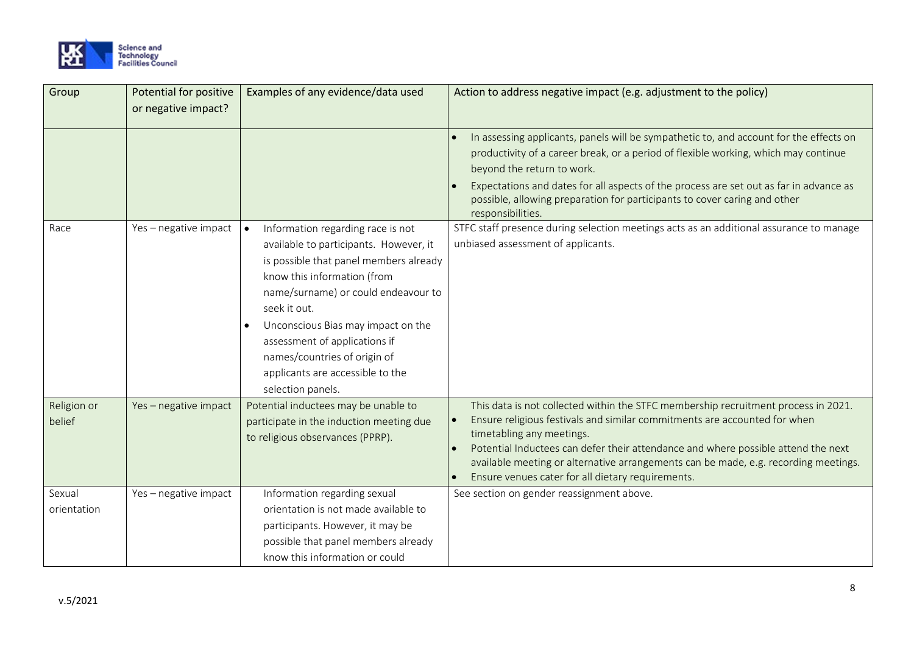

| Group                 | Potential for positive<br>or negative impact? | Examples of any evidence/data used                                                                                                                                                                                                                                                                                                                                                                    | Action to address negative impact (e.g. adjustment to the policy)                                                                                                                                                                                                                                                                                                                                                             |
|-----------------------|-----------------------------------------------|-------------------------------------------------------------------------------------------------------------------------------------------------------------------------------------------------------------------------------------------------------------------------------------------------------------------------------------------------------------------------------------------------------|-------------------------------------------------------------------------------------------------------------------------------------------------------------------------------------------------------------------------------------------------------------------------------------------------------------------------------------------------------------------------------------------------------------------------------|
|                       |                                               |                                                                                                                                                                                                                                                                                                                                                                                                       | In assessing applicants, panels will be sympathetic to, and account for the effects on<br>productivity of a career break, or a period of flexible working, which may continue<br>beyond the return to work.<br>Expectations and dates for all aspects of the process are set out as far in advance as<br>possible, allowing preparation for participants to cover caring and other<br>responsibilities.                       |
| Race                  | Yes - negative impact                         | Information regarding race is not<br>$\bullet$<br>available to participants. However, it<br>is possible that panel members already<br>know this information (from<br>name/surname) or could endeavour to<br>seek it out.<br>Unconscious Bias may impact on the<br>$\bullet$<br>assessment of applications if<br>names/countries of origin of<br>applicants are accessible to the<br>selection panels. | STFC staff presence during selection meetings acts as an additional assurance to manage<br>unbiased assessment of applicants.                                                                                                                                                                                                                                                                                                 |
| Religion or<br>belief | Yes - negative impact                         | Potential inductees may be unable to<br>participate in the induction meeting due<br>to religious observances (PPRP).                                                                                                                                                                                                                                                                                  | This data is not collected within the STFC membership recruitment process in 2021.<br>Ensure religious festivals and similar commitments are accounted for when<br>timetabling any meetings.<br>Potential Inductees can defer their attendance and where possible attend the next<br>available meeting or alternative arrangements can be made, e.g. recording meetings.<br>Ensure venues cater for all dietary requirements. |
| Sexual<br>orientation | Yes - negative impact                         | Information regarding sexual<br>orientation is not made available to<br>participants. However, it may be<br>possible that panel members already<br>know this information or could                                                                                                                                                                                                                     | See section on gender reassignment above.                                                                                                                                                                                                                                                                                                                                                                                     |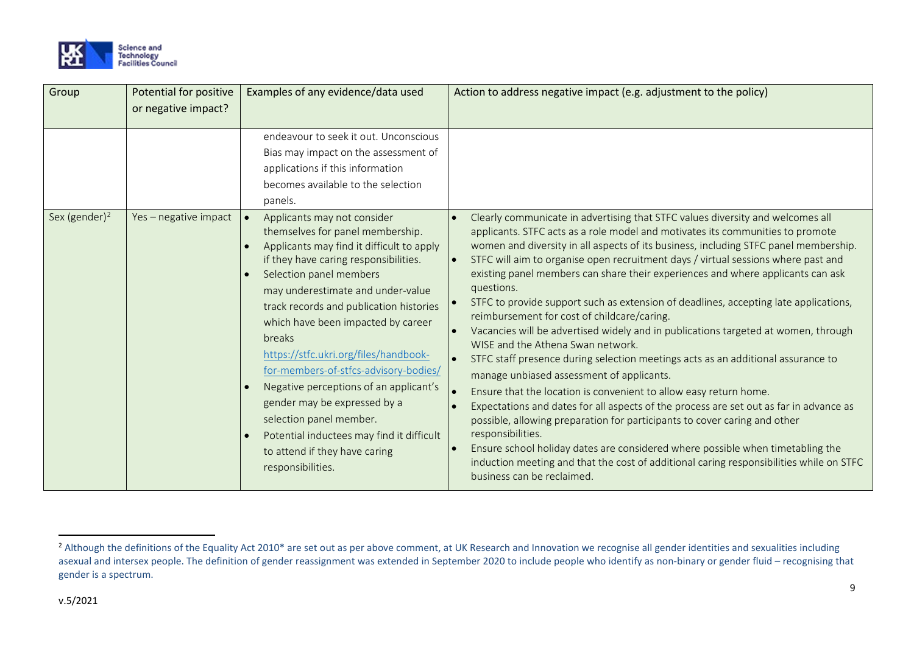<span id="page-8-0"></span>

| Group                     | Potential for positive<br>or negative impact? | Examples of any evidence/data used                                                                                                                                                                                                                                                                                                                                                                                                                                                                                                                                                                                                   | Action to address negative impact (e.g. adjustment to the policy)                                                                                                                                                                                                                                                                                                                                                                                                                                                                                                                                                                                                                                                                                                                                                                                                                                                                                                                                                                                                                                                                                                                                                                                                                                                             |
|---------------------------|-----------------------------------------------|--------------------------------------------------------------------------------------------------------------------------------------------------------------------------------------------------------------------------------------------------------------------------------------------------------------------------------------------------------------------------------------------------------------------------------------------------------------------------------------------------------------------------------------------------------------------------------------------------------------------------------------|-------------------------------------------------------------------------------------------------------------------------------------------------------------------------------------------------------------------------------------------------------------------------------------------------------------------------------------------------------------------------------------------------------------------------------------------------------------------------------------------------------------------------------------------------------------------------------------------------------------------------------------------------------------------------------------------------------------------------------------------------------------------------------------------------------------------------------------------------------------------------------------------------------------------------------------------------------------------------------------------------------------------------------------------------------------------------------------------------------------------------------------------------------------------------------------------------------------------------------------------------------------------------------------------------------------------------------|
|                           |                                               | endeavour to seek it out. Unconscious<br>Bias may impact on the assessment of<br>applications if this information<br>becomes available to the selection<br>panels.                                                                                                                                                                                                                                                                                                                                                                                                                                                                   |                                                                                                                                                                                                                                                                                                                                                                                                                                                                                                                                                                                                                                                                                                                                                                                                                                                                                                                                                                                                                                                                                                                                                                                                                                                                                                                               |
| Sex (gender) <sup>2</sup> | Yes - negative impact                         | Applicants may not consider<br>$\bullet$<br>themselves for panel membership.<br>Applicants may find it difficult to apply<br>$\bullet$<br>if they have caring responsibilities.<br>Selection panel members<br>may underestimate and under-value<br>track records and publication histories<br>which have been impacted by career<br>breaks<br>https://stfc.ukri.org/files/handbook-<br>for-members-of-stfcs-advisory-bodies/<br>Negative perceptions of an applicant's<br>gender may be expressed by a<br>selection panel member.<br>Potential inductees may find it difficult<br>to attend if they have caring<br>responsibilities. | Clearly communicate in advertising that STFC values diversity and welcomes all<br>applicants. STFC acts as a role model and motivates its communities to promote<br>women and diversity in all aspects of its business, including STFC panel membership.<br>STFC will aim to organise open recruitment days / virtual sessions where past and<br>existing panel members can share their experiences and where applicants can ask<br>questions.<br>STFC to provide support such as extension of deadlines, accepting late applications,<br>reimbursement for cost of childcare/caring.<br>Vacancies will be advertised widely and in publications targeted at women, through<br>WISE and the Athena Swan network.<br>STFC staff presence during selection meetings acts as an additional assurance to<br>manage unbiased assessment of applicants.<br>Ensure that the location is convenient to allow easy return home.<br>Expectations and dates for all aspects of the process are set out as far in advance as<br>possible, allowing preparation for participants to cover caring and other<br>responsibilities.<br>Ensure school holiday dates are considered where possible when timetabling the<br>induction meeting and that the cost of additional caring responsibilities while on STFC<br>business can be reclaimed. |

<sup>&</sup>lt;sup>2</sup> Although the definitions of the Equality Act 2010\* are set out as per above comment, at UK Research and Innovation we recognise all gender identities and sexualities including asexual and intersex people. The definition of gender reassignment was extended in September 2020 to include people who identify as non-binary or gender fluid – recognising that gender is a spectrum.